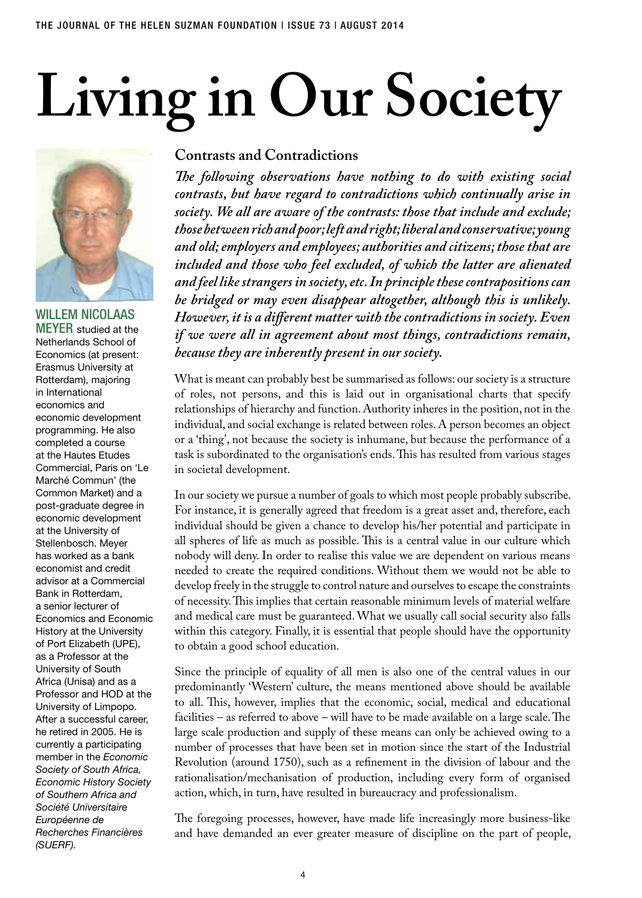## **Living in Our Society**



Willem Nicolaas **MEYER** studied at the Netherlands School of Economics (at present: Erasmus University at Rotterdam), majoring in International economics and economic development programming. He also completed a course at the Hautes Etudes Commercial, Paris on 'Le Marché Commun' (the Common Market) and a post-graduate degree in economic development at the University of Stellenbosch. Meyer has worked as a bank economist and credit advisor at a Commercial Bank in Rotterdam, a senior lecturer of Economics and Economic History at the University of Port Elizabeth (UPE), as a Professor at the University of South Africa (Unisa) and as a Professor and HOD at the University of Limpopo. After a successful career, he retired in 2005. He is currently a participating member in the *Economic Society of South Africa, Economic History Society of Southern Africa and Société Universitaire Européenne de Recherches Financières (SUERF).*

## **Contrasts and Contradictions**

*The following observations have nothing to do with existing social contrasts, but have regard to contradictions which continually arise in society. We all are aware of the contrasts: those that include and exclude; those between rich and poor; left and right; liberal and conservative; young and old; employers and employees; authorities and citizens; those that are included and those who feel excluded, of which the latter are alienated and feel like strangers in society, etc. In principle these contrapositions can be bridged or may even disappear altogether, although this is unlikely. However, it is a different matter with the contradictions in society. Even if we were all in agreement about most things, contradictions remain, because they are inherently present in our society.*

What is meant can probably best be summarised as follows: our society is a structure of roles, not persons, and this is laid out in organisational charts that specify relationships of hierarchy and function. Authority inheres in the position, not in the individual, and social exchange is related between roles. A person becomes an object or a 'thing', not because the society is inhumane, but because the performance of a task is subordinated to the organisation's ends. This has resulted from various stages in societal development.

In our society we pursue a number of goals to which most people probably subscribe. For instance, it is generally agreed that freedom is a great asset and, therefore, each individual should be given a chance to develop his/her potential and participate in all spheres of life as much as possible. This is a central value in our culture which nobody will deny. In order to realise this value we are dependent on various means needed to create the required conditions. Without them we would not be able to develop freely in the struggle to control nature and ourselves to escape the constraints of necessity. This implies that certain reasonable minimum levels of material welfare and medical care must be guaranteed. What we usually call social security also falls within this category. Finally, it is essential that people should have the opportunity to obtain a good school education.

Since the principle of equality of all men is also one of the central values in our predominantly 'Western' culture, the means mentioned above should be available to all. This, however, implies that the economic, social, medical and educational facilities – as referred to above – will have to be made available on a large scale. The large scale production and supply of these means can only be achieved owing to a number of processes that have been set in motion since the start of the Industrial Revolution (around 1750), such as a refinement in the division of labour and the rationalisation/mechanisation of production, including every form of organised action, which, in turn, have resulted in bureaucracy and professionalism.

The foregoing processes, however, have made life increasingly more business-like and have demanded an ever greater measure of discipline on the part of people,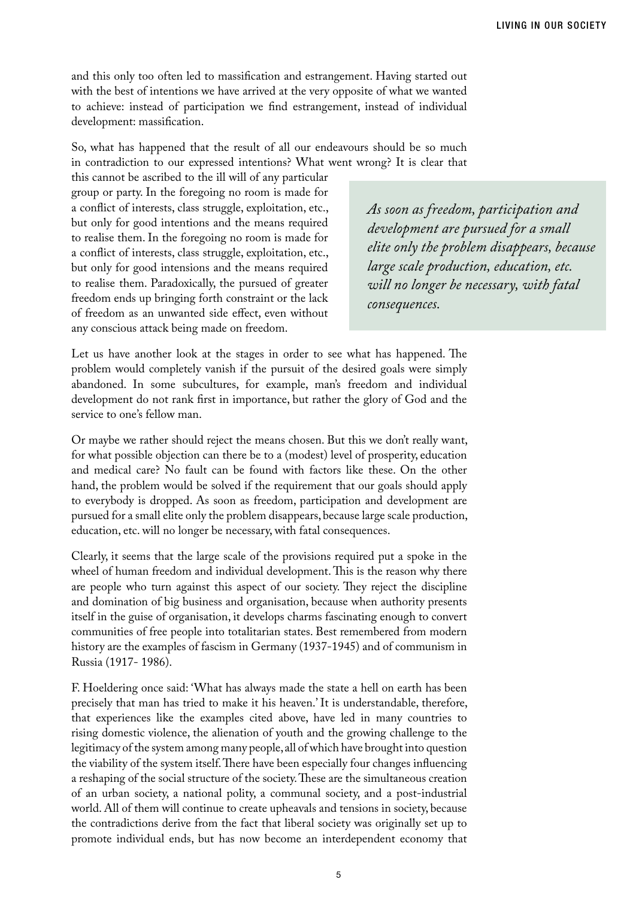and this only too often led to massification and estrangement. Having started out with the best of intentions we have arrived at the very opposite of what we wanted to achieve: instead of participation we find estrangement, instead of individual development: massification.

So, what has happened that the result of all our endeavours should be so much in contradiction to our expressed intentions? What went wrong? It is clear that

this cannot be ascribed to the ill will of any particular group or party. In the foregoing no room is made for a conflict of interests, class struggle, exploitation, etc., but only for good intentions and the means required to realise them. In the foregoing no room is made for a conflict of interests, class struggle, exploitation, etc., but only for good intensions and the means required to realise them. Paradoxically, the pursued of greater freedom ends up bringing forth constraint or the lack of freedom as an unwanted side effect, even without any conscious attack being made on freedom.

*As soon as freedom, participation and development are pursued for a small elite only the problem disappears, because large scale production, education, etc. will no longer be necessary, with fatal consequences.*

Let us have another look at the stages in order to see what has happened. The problem would completely vanish if the pursuit of the desired goals were simply abandoned. In some subcultures, for example, man's freedom and individual development do not rank first in importance, but rather the glory of God and the service to one's fellow man.

Or maybe we rather should reject the means chosen. But this we don't really want, for what possible objection can there be to a (modest) level of prosperity, education and medical care? No fault can be found with factors like these. On the other hand, the problem would be solved if the requirement that our goals should apply to everybody is dropped. As soon as freedom, participation and development are pursued for a small elite only the problem disappears, because large scale production, education, etc. will no longer be necessary, with fatal consequences.

Clearly, it seems that the large scale of the provisions required put a spoke in the wheel of human freedom and individual development. This is the reason why there are people who turn against this aspect of our society. They reject the discipline and domination of big business and organisation, because when authority presents itself in the guise of organisation, it develops charms fascinating enough to convert communities of free people into totalitarian states. Best remembered from modern history are the examples of fascism in Germany (1937-1945) and of communism in Russia (1917- 1986).

F. Hoeldering once said: 'What has always made the state a hell on earth has been precisely that man has tried to make it his heaven.' It is understandable, therefore, that experiences like the examples cited above, have led in many countries to rising domestic violence, the alienation of youth and the growing challenge to the legitimacy of the system among many people, all of which have brought into question the viability of the system itself. There have been especially four changes influencing a reshaping of the social structure of the society. These are the simultaneous creation of an urban society, a national polity, a communal society, and a post-industrial world. All of them will continue to create upheavals and tensions in society, because the contradictions derive from the fact that liberal society was originally set up to promote individual ends, but has now become an interdependent economy that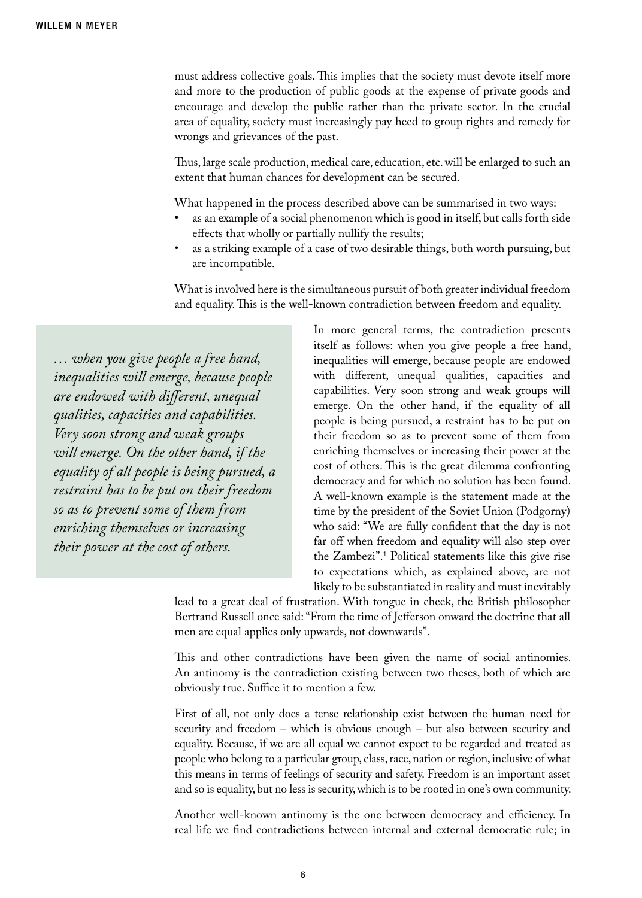must address collective goals. This implies that the society must devote itself more and more to the production of public goods at the expense of private goods and encourage and develop the public rather than the private sector. In the crucial area of equality, society must increasingly pay heed to group rights and remedy for wrongs and grievances of the past.

Thus, large scale production, medical care, education, etc. will be enlarged to such an extent that human chances for development can be secured.

What happened in the process described above can be summarised in two ways:

- as an example of a social phenomenon which is good in itself, but calls forth side effects that wholly or partially nullify the results;
- as a striking example of a case of two desirable things, both worth pursuing, but are incompatible.

What is involved here is the simultaneous pursuit of both greater individual freedom and equality. This is the well-known contradiction between freedom and equality.

*… when you give people a free hand, inequalities will emerge, because people are endowed with different, unequal qualities, capacities and capabilities. Very soon strong and weak groups will emerge. On the other hand, if the equality of all people is being pursued, a restraint has to be put on their freedom so as to prevent some of them from enriching themselves or increasing their power at the cost of others.*

In more general terms, the contradiction presents itself as follows: when you give people a free hand, inequalities will emerge, because people are endowed with different, unequal qualities, capacities and capabilities. Very soon strong and weak groups will emerge. On the other hand, if the equality of all people is being pursued, a restraint has to be put on their freedom so as to prevent some of them from enriching themselves or increasing their power at the cost of others. This is the great dilemma confronting democracy and for which no solution has been found. A well-known example is the statement made at the time by the president of the Soviet Union (Podgorny) who said: "We are fully confident that the day is not far off when freedom and equality will also step over the Zambezi".1 Political statements like this give rise to expectations which, as explained above, are not likely to be substantiated in reality and must inevitably

lead to a great deal of frustration. With tongue in cheek, the British philosopher Bertrand Russell once said: "From the time of Jefferson onward the doctrine that all men are equal applies only upwards, not downwards".

This and other contradictions have been given the name of social antinomies. An antinomy is the contradiction existing between two theses, both of which are obviously true. Suffice it to mention a few.

First of all, not only does a tense relationship exist between the human need for security and freedom – which is obvious enough – but also between security and equality. Because, if we are all equal we cannot expect to be regarded and treated as people who belong to a particular group, class, race, nation or region, inclusive of what this means in terms of feelings of security and safety. Freedom is an important asset and so is equality, but no less is security, which is to be rooted in one's own community.

Another well-known antinomy is the one between democracy and efficiency. In real life we find contradictions between internal and external democratic rule; in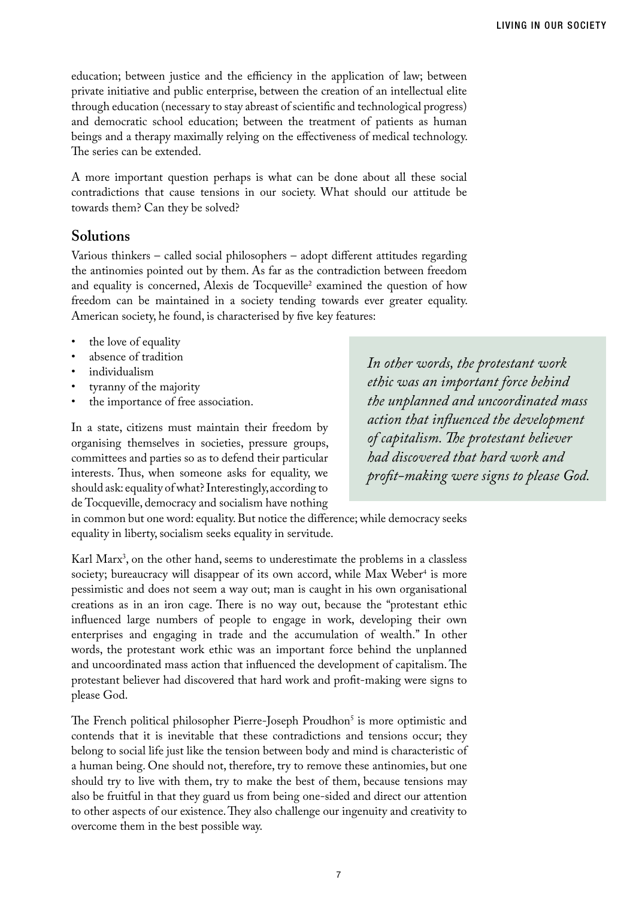education; between justice and the efficiency in the application of law; between private initiative and public enterprise, between the creation of an intellectual elite through education (necessary to stay abreast of scientific and technological progress) and democratic school education; between the treatment of patients as human beings and a therapy maximally relying on the effectiveness of medical technology. The series can be extended.

A more important question perhaps is what can be done about all these social contradictions that cause tensions in our society. What should our attitude be towards them? Can they be solved?

## **Solutions**

Various thinkers – called social philosophers – adopt different attitudes regarding the antinomies pointed out by them. As far as the contradiction between freedom and equality is concerned, Alexis de Tocqueville<sup>2</sup> examined the question of how freedom can be maintained in a society tending towards ever greater equality. American society, he found, is characterised by five key features:

- the love of equality
- absence of tradition
- individualism
- tyranny of the majority
- the importance of free association.

In a state, citizens must maintain their freedom by organising themselves in societies, pressure groups, committees and parties so as to defend their particular interests. Thus, when someone asks for equality, we should ask: equality of what? Interestingly, according to de Tocqueville, democracy and socialism have nothing *In other words, the protestant work ethic was an important force behind the unplanned and uncoordinated mass action that influenced the development of capitalism. The protestant believer had discovered that hard work and profit-making were signs to please God.*

in common but one word: equality. But notice the difference; while democracy seeks equality in liberty, socialism seeks equality in servitude.

Karl Marx<sup>3</sup>, on the other hand, seems to underestimate the problems in a classless society; bureaucracy will disappear of its own accord, while Max Weber<sup>4</sup> is more pessimistic and does not seem a way out; man is caught in his own organisational creations as in an iron cage. There is no way out, because the "protestant ethic influenced large numbers of people to engage in work, developing their own enterprises and engaging in trade and the accumulation of wealth." In other words, the protestant work ethic was an important force behind the unplanned and uncoordinated mass action that influenced the development of capitalism. The protestant believer had discovered that hard work and profit-making were signs to please God.

The French political philosopher Pierre-Joseph Proudhon<sup>5</sup> is more optimistic and contends that it is inevitable that these contradictions and tensions occur; they belong to social life just like the tension between body and mind is characteristic of a human being. One should not, therefore, try to remove these antinomies, but one should try to live with them, try to make the best of them, because tensions may also be fruitful in that they guard us from being one-sided and direct our attention to other aspects of our existence. They also challenge our ingenuity and creativity to overcome them in the best possible way.